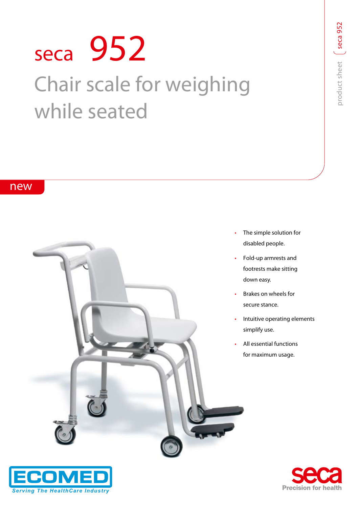# **seca 952** Chair scale for weighing while seated

## **new**





- The simple solution for disabled people.
- Fold-up armrests and footrests make sitting down easy.
- Brakes on wheels for secure stance.
- Intuitive operating elements simplify use.
- All essential functions for maximum usage.



**5 2**